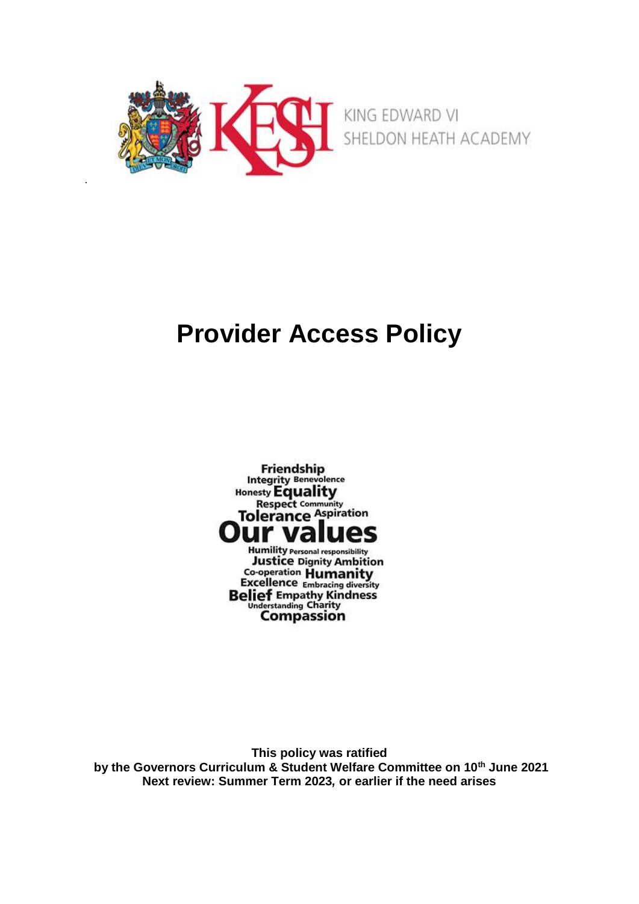

.

# **Provider Access Policy**



**This policy was ratified by the Governors Curriculum & Student Welfare Committee on 10th June 2021 Next review: Summer Term 2023***,* **or earlier if the need arises**